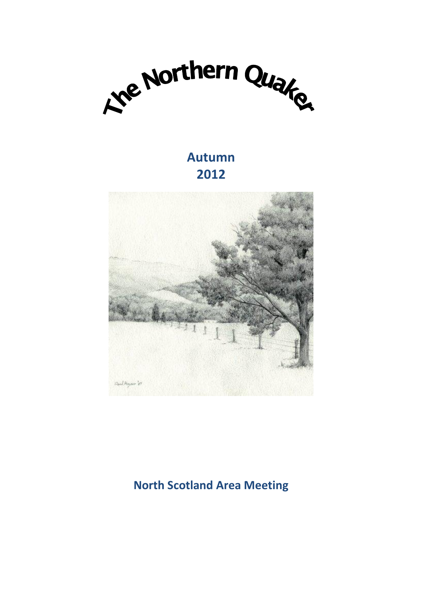

# **Autumn 2012**



# **North Scotland Area Meeting**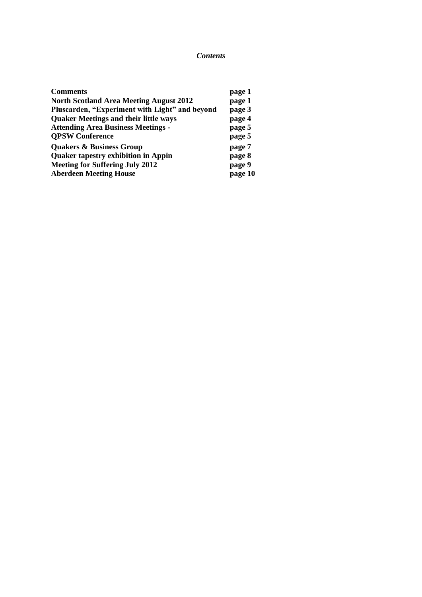#### *Contents*

| <b>Comments</b>                                | page 1  |
|------------------------------------------------|---------|
| <b>North Scotland Area Meeting August 2012</b> | page 1  |
| Pluscarden, "Experiment with Light" and beyond | page 3  |
| <b>Quaker Meetings and their little ways</b>   | page 4  |
| <b>Attending Area Business Meetings -</b>      | page 5  |
| <b>QPSW Conference</b>                         | page 5  |
| <b>Quakers &amp; Business Group</b>            | page 7  |
| <b>Quaker tapestry exhibition in Appin</b>     | page 8  |
| <b>Meeting for Suffering July 2012</b>         | page 9  |
| <b>Aberdeen Meeting House</b>                  | page 10 |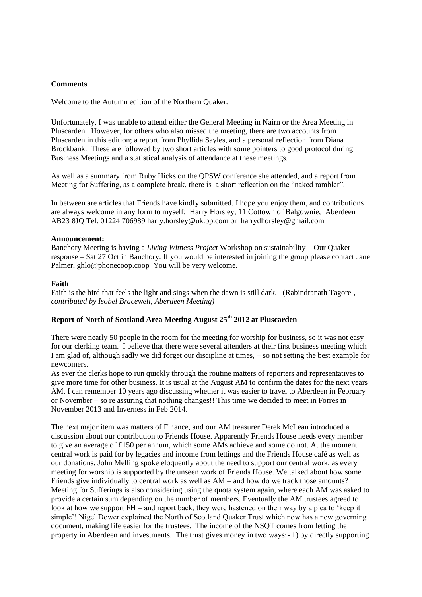#### **Comments**

Welcome to the Autumn edition of the Northern Quaker.

Unfortunately, I was unable to attend either the General Meeting in Nairn or the Area Meeting in Pluscarden. However, for others who also missed the meeting, there are two accounts from Pluscarden in this edition; a report from Phyllida Sayles, and a personal reflection from Diana Brockbank. These are followed by two short articles with some pointers to good protocol during Business Meetings and a statistical analysis of attendance at these meetings.

As well as a summary from Ruby Hicks on the QPSW conference she attended, and a report from Meeting for Suffering, as a complete break, there is a short reflection on the "naked rambler".

In between are articles that Friends have kindly submitted. I hope you enjoy them, and contributions are always welcome in any form to myself: Harry Horsley, 11 Cottown of Balgownie, Aberdeen AB23 8JQ Tel. 01224 706989 harry.horsley@uk.bp.com or harrydhorsley@gmail.com

#### **Announcement:**

Banchory Meeting is having a *Living Witness Project* Workshop on sustainability – Our Quaker response – Sat 27 Oct in Banchory. If you would be interested in joining the group please contact Jane Palmer, ghlo@phonecoop.coop You will be very welcome.

#### **Faith**

Faith is the bird that feels the light and sings when the dawn is still dark. (Rabindranath Tagore *, contributed by Isobel Bracewell, Aberdeen Meeting)*

# **Report of North of Scotland Area Meeting August 25th 2012 at Pluscarden**

There were nearly 50 people in the room for the meeting for worship for business, so it was not easy for our clerking team. I believe that there were several attenders at their first business meeting which I am glad of, although sadly we did forget our discipline at times, – so not setting the best example for newcomers.

As ever the clerks hope to run quickly through the routine matters of reporters and representatives to give more time for other business. It is usual at the August AM to confirm the dates for the next years AM. I can remember 10 years ago discussing whether it was easier to travel to Aberdeen in February or November – so re assuring that nothing changes!! This time we decided to meet in Forres in November 2013 and Inverness in Feb 2014.

The next major item was matters of Finance, and our AM treasurer Derek McLean introduced a discussion about our contribution to Friends House. Apparently Friends House needs every member to give an average of £150 per annum, which some AMs achieve and some do not. At the moment central work is paid for by legacies and income from lettings and the Friends House café as well as our donations. John Melling spoke eloquently about the need to support our central work, as every meeting for worship is supported by the unseen work of Friends House. We talked about how some Friends give individually to central work as well as AM – and how do we track those amounts? Meeting for Sufferings is also considering using the quota system again, where each AM was asked to provide a certain sum depending on the number of members. Eventually the AM trustees agreed to look at how we support FH – and report back, they were hastened on their way by a plea to "keep it simple"! Nigel Dower explained the North of Scotland Quaker Trust which now has a new governing document, making life easier for the trustees. The income of the NSQT comes from letting the property in Aberdeen and investments. The trust gives money in two ways:- 1) by directly supporting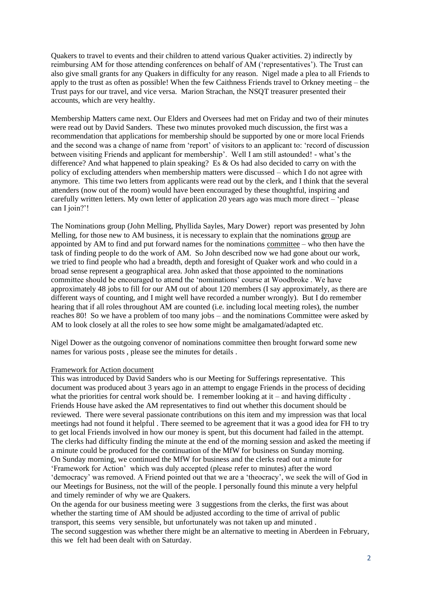Quakers to travel to events and their children to attend various Quaker activities. 2) indirectly by reimbursing AM for those attending conferences on behalf of AM ("representatives"). The Trust can also give small grants for any Quakers in difficulty for any reason. Nigel made a plea to all Friends to apply to the trust as often as possible! When the few Caithness Friends travel to Orkney meeting – the Trust pays for our travel, and vice versa. Marion Strachan, the NSQT treasurer presented their accounts, which are very healthy.

Membership Matters came next. Our Elders and Oversees had met on Friday and two of their minutes were read out by David Sanders. These two minutes provoked much discussion, the first was a recommendation that applications for membership should be supported by one or more local Friends and the second was a change of name from "report" of visitors to an applicant to: "record of discussion between visiting Friends and applicant for membership'. Well I am still astounded! - what's the difference? And what happened to plain speaking? Es & Os had also decided to carry on with the policy of excluding attenders when membership matters were discussed – which I do not agree with anymore. This time two letters from applicants were read out by the clerk, and I think that the several attenders (now out of the room) would have been encouraged by these thoughtful, inspiring and carefully written letters. My own letter of application 20 years ago was much more direct – "please can I join?'!

The Nominations group (John Melling, Phyllida Sayles, Mary Dower) report was presented by John Melling, for those new to AM business, it is necessary to explain that the nominations group are appointed by AM to find and put forward names for the nominations committee – who then have the task of finding people to do the work of AM. So John described now we had gone about our work, we tried to find people who had a breadth, depth and foresight of Quaker work and who could in a broad sense represent a geographical area. John asked that those appointed to the nominations committee should be encouraged to attend the "nominations" course at Woodbroke . We have approximately 48 jobs to fill for our AM out of about 120 members (I say approximately, as there are different ways of counting, and I might well have recorded a number wrongly). But I do remember hearing that if all roles throughout AM are counted (i.e. including local meeting roles), the number reaches 80! So we have a problem of too many jobs – and the nominations Committee were asked by AM to look closely at all the roles to see how some might be amalgamated/adapted etc.

Nigel Dower as the outgoing convenor of nominations committee then brought forward some new names for various posts , please see the minutes for details .

#### Framework for Action document

This was introduced by David Sanders who is our Meeting for Sufferings representative. This document was produced about 3 years ago in an attempt to engage Friends in the process of deciding what the priorities for central work should be. I remember looking at it – and having difficulty. Friends House have asked the AM representatives to find out whether this document should be reviewed. There were several passionate contributions on this item and my impression was that local meetings had not found it helpful . There seemed to be agreement that it was a good idea for FH to try to get local Friends involved in how our money is spent, but this document had failed in the attempt. The clerks had difficulty finding the minute at the end of the morning session and asked the meeting if a minute could be produced for the continuation of the MfW for business on Sunday morning. On Sunday morning, we continued the MfW for business and the clerks read out a minute for "Framework for Action" which was duly accepted (please refer to minutes) after the word 'democracy' was removed. A Friend pointed out that we are a 'theocracy', we seek the will of God in our Meetings for Business, not the will of the people. I personally found this minute a very helpful and timely reminder of why we are Quakers.

On the agenda for our business meeting were 3 suggestions from the clerks, the first was about whether the starting time of AM should be adjusted according to the time of arrival of public transport, this seems very sensible, but unfortunately was not taken up and minuted . The second suggestion was whether there might be an alternative to meeting in Aberdeen in February, this we felt had been dealt with on Saturday.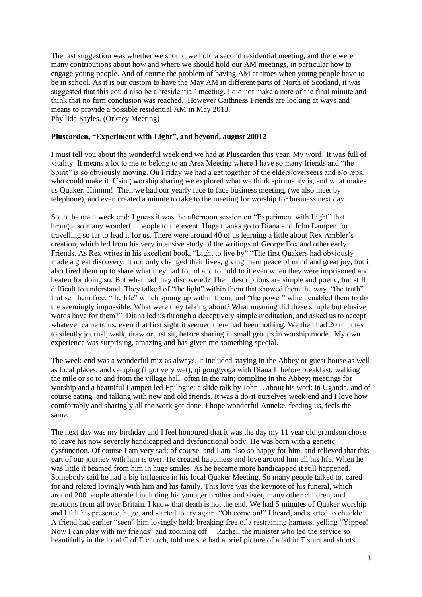The last suggestion was whether we should we hold a second residential meeting, and there were many contributions about how and where we should hold our AM meetings, in particular how to engage young people. And of course the problem of having AM at times when young people have to be in school. As it is our custom to have the May AM in different parts of North of Scotland, it was suggested that this could also be a "residential" meeting. I did not make a note of the final minute and think that no firm conclusion was reached. However Caithness Friends are looking at ways and means to provide a possible residential AM in May 2013. Phyllida Sayles, (Orkney Meeting)

#### **Pluscarden, "Experiment with Light", and beyond, august 20012**

I must tell you about the wonderful week end we had at Pluscarden this year. My word! It was full of vitality. It means a lot to me to belong to an Area Meeting where I have so many friends and "the Spirit" is so obviously moving. On Friday we had a get together of the elders/overseers and e/o reps. who could make it. Using worship sharing we explored what we think spirituality is, and what makes us Quaker. Hmmm! Then we had our yearly face to face business meeting, (we also meet by telephone), and even created a minute to take to the meeting for worship for business next day.

So to the main week end: I guess it was the afternoon session on "Experiment with Light" that brought so many wonderful people to the event. Huge thanks go to Diana and John Lampen for travelling so far to lead it for us. There were around 40 of us learning a little about Rex Ambler"s creation, which led from his very intensive study of the writings of George Fox and other early Friends. As Rex writes in his excellent book, "Light to live by" "The first Quakers had obviously made a great discovery. It not only changed their lives, giving them peace of mind and great joy, but it also fired them up to share what they had found and to hold to it even when they were imprisoned and beaten for doing so. But what had they discovered? Their descriptions are simple and poetic, but still difficult to understand. They talked of "the light" within them that showed them the way, "the truth" that set them free, "the life" which sprang up within them, and "the power" which enabled them to do the seemingly impossible. What were they talking about? What meaning did these simple but elusive words have for them?" Diana led us through a deceptively simple meditation, and asked us to accept whatever came to us, even if at first sight it seemed there had been nothing. We then had 20 minutes to silently journal, walk, draw or just sit, before sharing in small groups in worship mode. My own experience was surprising, amazing and has given me something special.

The week-end was a wonderful mix as always. It included staying in the Abbey or guest house as well as local places, and camping (I got very wet); qi gong/yoga with Diana L before breakfast; walking the mile or so to and from the village hall, often in the rain; compline in the Abbey; meetings for worship and a beautiful Lampen led Epilogue; a slide talk by John L about his work in Uganda, and of course eating, and talking with new and old friends. It was a do-it ourselves week-end and I love how comfortably and sharingly all the work got done. I hope wonderful Anneke, feeding us, feels the same.

The next day was my birthday and I feel honoured that it was the day my 11 year old grandson chose to leave his now severely handicapped and dysfunctional body. He was born with a genetic dysfunction. Of course I am very sad; of course; and I am also so happy for him, and relieved that this part of our journey with him is over. He created happiness and love around him all his life. When he was little it beamed from him in huge smiles. As he became more handicapped it still happened. Somebody said he had a big influence in his local Quaker Meeting. So many people talked to, cared for and related lovingly with him and his family. This love was the keynote of his funeral, which around 200 people attended including his younger brother and sister, many other children, and relations from all over Britain. I know that death is not the end. We had 5 minutes of Quaker worship and I felt his presence, huge, and started to cry again. "Oh come on!" I heard, and started to chuckle. A friend had earlier "seen" him lovingly held; breaking free of a restraining harness, yelling "Yippee! Now I can play with my friends" and zooming off. Rachel, the minister who led the service so beautifully in the local C of E church, told me she had a brief picture of a lad in T shirt and shorts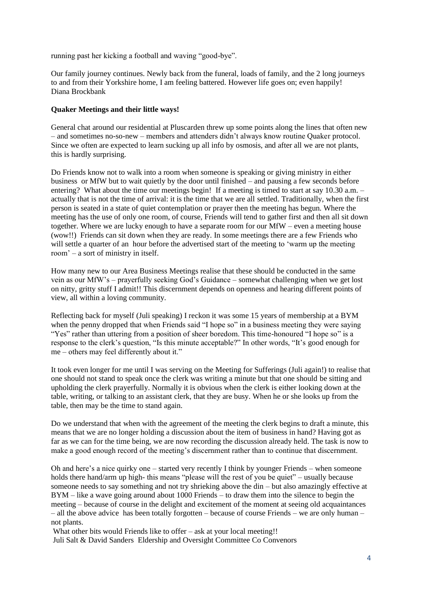running past her kicking a football and waving "good-bye".

Our family journey continues. Newly back from the funeral, loads of family, and the 2 long journeys to and from their Yorkshire home, I am feeling battered. However life goes on; even happily! Diana Brockbank

#### **Quaker Meetings and their little ways!**

General chat around our residential at Pluscarden threw up some points along the lines that often new – and sometimes no-so-new – members and attenders didn"t always know routine Quaker protocol. Since we often are expected to learn sucking up all info by osmosis, and after all we are not plants, this is hardly surprising.

Do Friends know not to walk into a room when someone is speaking or giving ministry in either business or MfW but to wait quietly by the door until finished – and pausing a few seconds before entering? What about the time our meetings begin! If a meeting is timed to start at say 10.30 a.m. – actually that is not the time of arrival: it is the time that we are all settled. Traditionally, when the first person is seated in a state of quiet contemplation or prayer then the meeting has begun. Where the meeting has the use of only one room, of course, Friends will tend to gather first and then all sit down together. Where we are lucky enough to have a separate room for our MfW – even a meeting house (wow!!) Friends can sit down when they are ready. In some meetings there are a few Friends who will settle a quarter of an hour before the advertised start of the meeting to 'warm up the meeting room" – a sort of ministry in itself.

How many new to our Area Business Meetings realise that these should be conducted in the same vein as our MfW"s – prayerfully seeking God"s Guidance – somewhat challenging when we get lost on nitty, gritty stuff I admit!! This discernment depends on openness and hearing different points of view, all within a loving community.

Reflecting back for myself (Juli speaking) I reckon it was some 15 years of membership at a BYM when the penny dropped that when Friends said "I hope so" in a business meeting they were saying "Yes" rather than uttering from a position of sheer boredom. This time-honoured "I hope so" is a response to the clerk's question, "Is this minute acceptable?" In other words, "It's good enough for me – others may feel differently about it."

It took even longer for me until I was serving on the Meeting for Sufferings (Juli again!) to realise that one should not stand to speak once the clerk was writing a minute but that one should be sitting and upholding the clerk prayerfully. Normally it is obvious when the clerk is either looking down at the table, writing, or talking to an assistant clerk, that they are busy. When he or she looks up from the table, then may be the time to stand again.

Do we understand that when with the agreement of the meeting the clerk begins to draft a minute, this means that we are no longer holding a discussion about the item of business in hand? Having got as far as we can for the time being, we are now recording the discussion already held. The task is now to make a good enough record of the meeting's discernment rather than to continue that discernment.

Oh and here's a nice quirky one – started very recently I think by younger Friends – when someone holds there hand/arm up high- this means "please will the rest of you be quiet" – usually because someone needs to say something and not try shrieking above the din – but also amazingly effective at BYM – like a wave going around about 1000 Friends – to draw them into the silence to begin the meeting – because of course in the delight and excitement of the moment at seeing old acquaintances – all the above advice has been totally forgotten – because of course Friends – we are only human – not plants.

What other bits would Friends like to offer – ask at your local meeting!! Juli Salt & David Sanders Eldership and Oversight Committee Co Convenors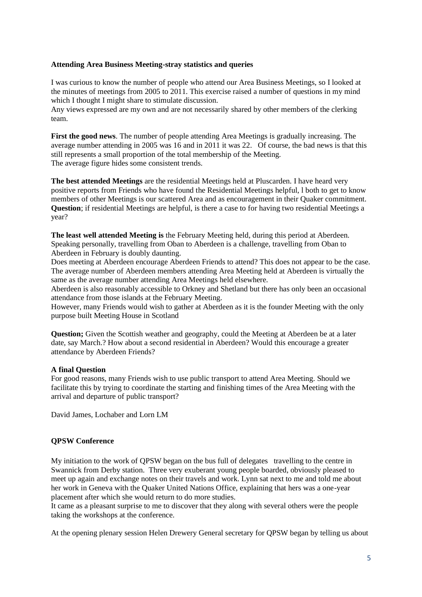#### **Attending Area Business Meeting-stray statistics and queries**

I was curious to know the number of people who attend our Area Business Meetings, so I looked at the minutes of meetings from 2005 to 2011. This exercise raised a number of questions in my mind which I thought I might share to stimulate discussion.

Any views expressed are my own and are not necessarily shared by other members of the clerking team.

**First the good news**. The number of people attending Area Meetings is gradually increasing. The average number attending in 2005 was 16 and in 2011 it was 22. Of course, the bad news is that this still represents a small proportion of the total membership of the Meeting. The average figure hides some consistent trends.

**The best attended Meetings** are the residential Meetings held at Pluscarden. I have heard very positive reports from Friends who have found the Residential Meetings helpful, l both to get to know members of other Meetings is our scattered Area and as encouragement in their Quaker commitment. **Question**; if residential Meetings are helpful, is there a case to for having two residential Meetings a year?

**The least well attended Meeting is** the February Meeting held, during this period at Aberdeen. Speaking personally, travelling from Oban to Aberdeen is a challenge, travelling from Oban to Aberdeen in February is doubly daunting.

Does meeting at Aberdeen encourage Aberdeen Friends to attend? This does not appear to be the case. The average number of Aberdeen members attending Area Meeting held at Aberdeen is virtually the same as the average number attending Area Meetings held elsewhere.

Aberdeen is also reasonably accessible to Orkney and Shetland but there has only been an occasional attendance from those islands at the February Meeting.

However, many Friends would wish to gather at Aberdeen as it is the founder Meeting with the only purpose built Meeting House in Scotland

**Question;** Given the Scottish weather and geography, could the Meeting at Aberdeen be at a later date, say March.? How about a second residential in Aberdeen? Would this encourage a greater attendance by Aberdeen Friends?

#### **A final Question**

For good reasons, many Friends wish to use public transport to attend Area Meeting. Should we facilitate this by trying to coordinate the starting and finishing times of the Area Meeting with the arrival and departure of public transport?

David James, Lochaber and Lorn LM

#### **QPSW Conference**

My initiation to the work of QPSW began on the bus full of delegates travelling to the centre in Swannick from Derby station. Three very exuberant young people boarded, obviously pleased to meet up again and exchange notes on their travels and work. Lynn sat next to me and told me about her work in Geneva with the Quaker United Nations Office, explaining that hers was a one-year placement after which she would return to do more studies.

It came as a pleasant surprise to me to discover that they along with several others were the people taking the workshops at the conference.

At the opening plenary session Helen Drewery General secretary for QPSW began by telling us about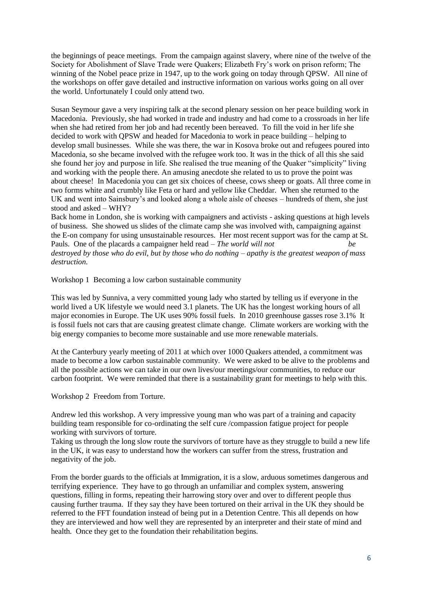the beginnings of peace meetings. From the campaign against slavery, where nine of the twelve of the Society for Abolishment of Slave Trade were Quakers; Elizabeth Fry"s work on prison reform; The winning of the Nobel peace prize in 1947, up to the work going on today through QPSW. All nine of the workshops on offer gave detailed and instructive information on various works going on all over the world. Unfortunately I could only attend two.

Susan Seymour gave a very inspiring talk at the second plenary session on her peace building work in Macedonia. Previously, she had worked in trade and industry and had come to a crossroads in her life when she had retired from her job and had recently been bereaved. To fill the void in her life she decided to work with QPSW and headed for Macedonia to work in peace building – helping to develop small businesses. While she was there, the war in Kosova broke out and refugees poured into Macedonia, so she became involved with the refugee work too. It was in the thick of all this she said she found her joy and purpose in life. She realised the true meaning of the Quaker "simplicity" living and working with the people there. An amusing anecdote she related to us to prove the point was about cheese! In Macedonia you can get six choices of cheese, cows sheep or goats. All three come in two forms white and crumbly like Feta or hard and yellow like Cheddar. When she returned to the UK and went into Sainsbury"s and looked along a whole aisle of cheeses – hundreds of them, she just stood and asked – WHY?

Back home in London, she is working with campaigners and activists - asking questions at high levels of business. She showed us slides of the climate camp she was involved with, campaigning against the E-on company for using unsustainable resources. Her most recent support was for the camp at St. Pauls. One of the placards a campaigner held read – *The world will not be destroyed by those who do evil, but by those who do nothing – apathy is the greatest weapon of mass destruction.*

Workshop 1 Becoming a low carbon sustainable community

This was led by Sunniva, a very committed young lady who started by telling us if everyone in the world lived a UK lifestyle we would need 3.1 planets. The UK has the longest working hours of all major economies in Europe. The UK uses 90% fossil fuels. In 2010 greenhouse gasses rose 3.1% It is fossil fuels not cars that are causing greatest climate change. Climate workers are working with the big energy companies to become more sustainable and use more renewable materials.

At the Canterbury yearly meeting of 2011 at which over 1000 Quakers attended, a commitment was made to become a low carbon sustainable community. We were asked to be alive to the problems and all the possible actions we can take in our own lives/our meetings/our communities, to reduce our carbon footprint. We were reminded that there is a sustainability grant for meetings to help with this.

Workshop 2 Freedom from Torture.

Andrew led this workshop. A very impressive young man who was part of a training and capacity building team responsible for co-ordinating the self cure /compassion fatigue project for people working with survivors of torture.

Taking us through the long slow route the survivors of torture have as they struggle to build a new life in the UK, it was easy to understand how the workers can suffer from the stress, frustration and negativity of the job.

From the border guards to the officials at Immigration, it is a slow, arduous sometimes dangerous and terrifying experience. They have to go through an unfamiliar and complex system, answering questions, filling in forms, repeating their harrowing story over and over to different people thus causing further trauma. If they say they have been tortured on their arrival in the UK they should be referred to the FFT foundation instead of being put in a Detention Centre. This all depends on how they are interviewed and how well they are represented by an interpreter and their state of mind and health. Once they get to the foundation their rehabilitation begins.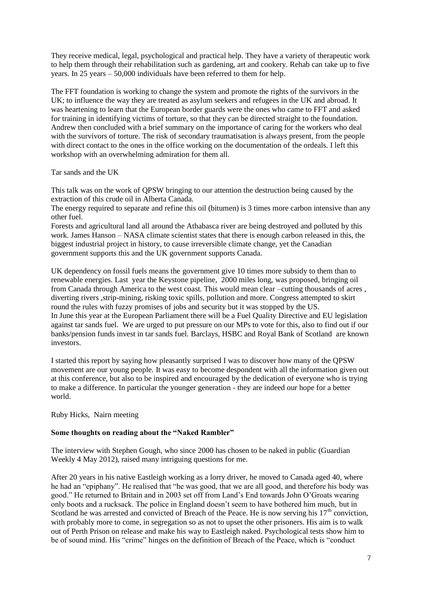They receive medical, legal, psychological and practical help. They have a variety of therapeutic work to help them through their rehabilitation such as gardening, art and cookery. Rehab can take up to five years. In 25 years – 50,000 individuals have been referred to them for help.

The FFT foundation is working to change the system and promote the rights of the survivors in the UK; to influence the way they are treated as asylum seekers and refugees in the UK and abroad. It was heartening to learn that the European border guards were the ones who came to FFT and asked for training in identifying victims of torture, so that they can be directed straight to the foundation. Andrew then concluded with a brief summary on the importance of caring for the workers who deal with the survivors of torture. The risk of secondary traumatisation is always present, from the people with direct contact to the ones in the office working on the documentation of the ordeals. I left this workshop with an overwhelming admiration for them all.

Tar sands and the UK

This talk was on the work of QPSW bringing to our attention the destruction being caused by the extraction of this crude oil in Alberta Canada.

The energy required to separate and refine this oil (bitumen) is 3 times more carbon intensive than any other fuel.

Forests and agricultural land all around the Athabasca river are being destroyed and polluted by this work. James Hanson – NASA climate scientist states that there is enough carbon released in this, the biggest industrial project in history, to cause irreversible climate change, yet the Canadian government supports this and the UK government supports Canada.

UK dependency on fossil fuels means the government give 10 times more subsidy to them than to renewable energies. Last year the Keystone pipeline, 2000 miles long, was proposed, bringing oil from Canada through America to the west coast. This would mean clear –cutting thousands of acres , diverting rivers ,strip-mining, risking toxic spills, pollution and more. Congress attempted to skirt round the rules with fuzzy promises of jobs and security but it was stopped by the US. In June this year at the European Parliament there will be a Fuel Quality Directive and EU legislation against tar sands fuel. We are urged to put pressure on our MPs to vote for this, also to find out if our banks/pension funds invest in tar sands fuel. Barclays, HSBC and Royal Bank of Scotland are known investors.

I started this report by saying how pleasantly surprised I was to discover how many of the QPSW movement are our young people. It was easy to become despondent with all the information given out at this conference, but also to be inspired and encouraged by the dedication of everyone who is trying to make a difference. In particular the younger generation - they are indeed our hope for a better world.

Ruby Hicks, Nairn meeting

### **Some thoughts on reading about the "Naked Rambler"**

The interview with Stephen Gough, who since 2000 has chosen to be naked in public (Guardian Weekly 4 May 2012), raised many intriguing questions for me.

After 20 years in his native Eastleigh working as a lorry driver, he moved to Canada aged 40, where he had an "epiphany". He realised that "he was good, that we are all good, and therefore his body was good." He returned to Britain and in 2003 set off from Land"s End towards John O"Groats wearing only boots and a rucksack. The police in England doesn"t seem to have bothered him much, but in Scotland he was arrested and convicted of Breach of the Peace. He is now serving his  $17<sup>th</sup>$  conviction, with probably more to come, in segregation so as not to upset the other prisoners. His aim is to walk out of Perth Prison on release and make his way to Eastleigh naked. Psychological tests show him to be of sound mind. His "crime" hinges on the definition of Breach of the Peace, which is "conduct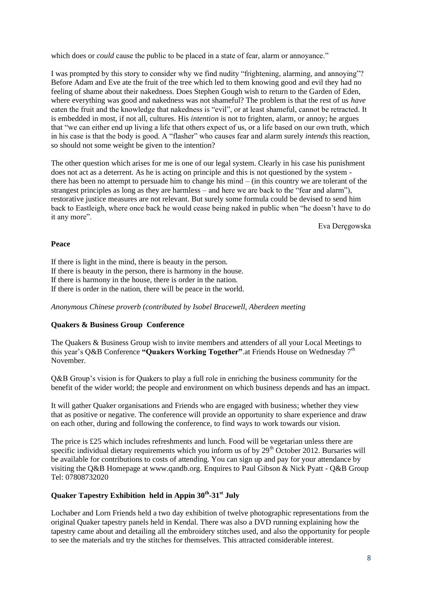which does or *could* cause the public to be placed in a state of fear, alarm or annoyance."

I was prompted by this story to consider why we find nudity "frightening, alarming, and annoying"? Before Adam and Eve ate the fruit of the tree which led to them knowing good and evil they had no feeling of shame about their nakedness. Does Stephen Gough wish to return to the Garden of Eden, where everything was good and nakedness was not shameful? The problem is that the rest of us *have*  eaten the fruit and the knowledge that nakedness is "evil", or at least shameful, cannot be retracted. It is embedded in most, if not all, cultures. His *intention* is not to frighten, alarm, or annoy; he argues that "we can either end up living a life that others expect of us, or a life based on our own truth, which in his case is that the body is good. A "flasher" who causes fear and alarm surely *intends* this reaction, so should not some weight be given to the intention?

The other question which arises for me is one of our legal system. Clearly in his case his punishment does not act as a deterrent. As he is acting on principle and this is not questioned by the system there has been no attempt to persuade him to change his mind – (in this country we are tolerant of the strangest principles as long as they are harmless – and here we are back to the "fear and alarm"), restorative justice measures are not relevant. But surely some formula could be devised to send him back to Eastleigh, where once back he would cease being naked in public when "he doesn't have to do it any more".

Eva Deręgowska

#### **Peace**

If there is light in the mind, there is beauty in the person. If there is beauty in the person, there is harmony in the house. If there is harmony in the house, there is order in the nation. If there is order in the nation, there will be peace in the world.

*Anonymous Chinese proverb (contributed by Isobel Bracewell, Aberdeen meeting*

#### **Quakers & Business Group Conference**

The Quakers & Business Group wish to invite members and attenders of all your Local Meetings to this year's Q&B Conference "Quakers Working Together". at Friends House on Wednesday 7<sup>th</sup> November.

Q&B Group"s vision is for Quakers to play a full role in enriching the business community for the benefit of the wider world; the people and environment on which business depends and has an impact.

It will gather Quaker organisations and Friends who are engaged with business; whether they view that as positive or negative. The conference will provide an opportunity to share experience and draw on each other, during and following the conference, to find ways to work towards our vision.

The price is £25 which includes refreshments and lunch. Food will be vegetarian unless there are specific individual dietary requirements which you inform us of by  $29<sup>th</sup>$  October 2012. Bursaries will be available for contributions to costs of attending. You can sign up and pay for your attendance by visiting the Q&B Homepage at www.qandb.org. Enquires to Paul Gibson & Nick Pyatt - Q&B Group Tel: 07808732020

# **Quaker Tapestry Exhibition held in Appin 30th -31st July**

Lochaber and Lorn Friends held a two day exhibition of twelve photographic representations from the original Quaker tapestry panels held in Kendal. There was also a DVD running explaining how the tapestry came about and detailing all the embroidery stitches used, and also the opportunity for people to see the materials and try the stitches for themselves. This attracted considerable interest.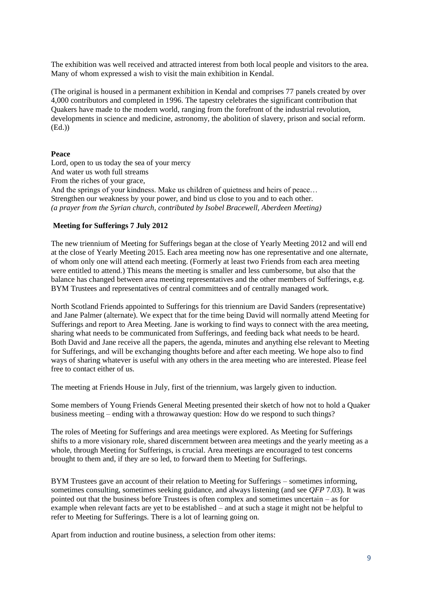The exhibition was well received and attracted interest from both local people and visitors to the area. Many of whom expressed a wish to visit the main exhibition in Kendal.

(The original is housed in a permanent exhibition in Kendal and comprises 77 panels created by over 4,000 contributors and completed in 1996. The tapestry celebrates the significant contribution that Quakers have made to the modern world, ranging from the forefront of the industrial revolution, developments in science and medicine, astronomy, the abolition of slavery, prison and social reform. (Ed.))

#### **Peace**

Lord, open to us today the sea of your mercy And water us woth full streams From the riches of your grace, And the springs of your kindness. Make us children of quietness and heirs of peace… Strengthen our weakness by your power, and bind us close to you and to each other. *(a prayer from the Syrian church, contributed by Isobel Bracewell, Aberdeen Meeting)*

#### **Meeting for Sufferings 7 July 2012**

The new triennium of Meeting for Sufferings began at the close of Yearly Meeting 2012 and will end at the close of Yearly Meeting 2015. Each area meeting now has one representative and one alternate, of whom only one will attend each meeting. (Formerly at least two Friends from each area meeting were entitled to attend.) This means the meeting is smaller and less cumbersome, but also that the balance has changed between area meeting representatives and the other members of Sufferings, e.g. BYM Trustees and representatives of central committees and of centrally managed work.

North Scotland Friends appointed to Sufferings for this triennium are David Sanders (representative) and Jane Palmer (alternate). We expect that for the time being David will normally attend Meeting for Sufferings and report to Area Meeting. Jane is working to find ways to connect with the area meeting, sharing what needs to be communicated from Sufferings, and feeding back what needs to be heard. Both David and Jane receive all the papers, the agenda, minutes and anything else relevant to Meeting for Sufferings, and will be exchanging thoughts before and after each meeting. We hope also to find ways of sharing whatever is useful with any others in the area meeting who are interested. Please feel free to contact either of us.

The meeting at Friends House in July, first of the triennium, was largely given to induction.

Some members of Young Friends General Meeting presented their sketch of how not to hold a Quaker business meeting – ending with a throwaway question: How do we respond to such things?

The roles of Meeting for Sufferings and area meetings were explored. As Meeting for Sufferings shifts to a more visionary role, shared discernment between area meetings and the yearly meeting as a whole, through Meeting for Sufferings, is crucial. Area meetings are encouraged to test concerns brought to them and, if they are so led, to forward them to Meeting for Sufferings.

BYM Trustees gave an account of their relation to Meeting for Sufferings – sometimes informing, sometimes consulting, sometimes seeking guidance, and always listening (and see *QFP* 7.03). It was pointed out that the business before Trustees is often complex and sometimes uncertain – as for example when relevant facts are yet to be established – and at such a stage it might not be helpful to refer to Meeting for Sufferings. There is a lot of learning going on.

Apart from induction and routine business, a selection from other items: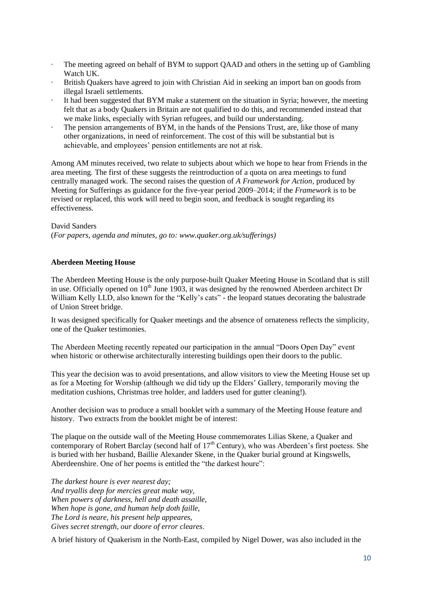- · The meeting agreed on behalf of BYM to support QAAD and others in the setting up of Gambling Watch UK.
- · British Quakers have agreed to join with Christian Aid in seeking an import ban on goods from illegal Israeli settlements.
- It had been suggested that BYM make a statement on the situation in Syria; however, the meeting felt that as a body Quakers in Britain are not qualified to do this, and recommended instead that we make links, especially with Syrian refugees, and build our understanding.
- The pension arrangements of BYM, in the hands of the Pensions Trust, are, like those of many other organizations, in need of reinforcement. The cost of this will be substantial but is achievable, and employees" pension entitlements are not at risk.

Among AM minutes received, two relate to subjects about which we hope to hear from Friends in the area meeting. The first of these suggests the reintroduction of a quota on area meetings to fund centrally managed work. The second raises the question of *A Framework for Action*, produced by Meeting for Sufferings as guidance for the five-year period 2009–2014; if the *Framework* is to be revised or replaced, this work will need to begin soon, and feedback is sought regarding its effectiveness.

#### David Sanders

(*For papers, agenda and minutes, go to: www.quaker.org.uk/sufferings)*

#### **Aberdeen Meeting House**

The Aberdeen Meeting House is the only purpose-built Quaker Meeting House in Scotland that is still in use. Officially opened on  $10<sup>th</sup>$  June 1903, it was designed by the renowned Aberdeen architect Dr William Kelly LLD, also known for the "Kelly's cats" - the leopard statues decorating the balustrade of Union Street bridge.

It was designed specifically for Quaker meetings and the absence of ornateness reflects the simplicity, one of the Quaker testimonies.

The Aberdeen Meeting recently repeated our participation in the annual "Doors Open Day" event when historic or otherwise architecturally interesting buildings open their doors to the public.

This year the decision was to avoid presentations, and allow visitors to view the Meeting House set up as for a Meeting for Worship (although we did tidy up the Elders" Gallery, temporarily moving the meditation cushions, Christmas tree holder, and ladders used for gutter cleaning!).

Another decision was to produce a small booklet with a summary of the Meeting House feature and history. Two extracts from the booklet might be of interest:

The plaque on the outside wall of the Meeting House commemorates Lilias Skene, a Quaker and contemporary of Robert Barclay (second half of 17<sup>th</sup> Century), who was Aberdeen's first poetess. She is buried with her husband, Baillie Alexander Skene, in the Quaker burial ground at Kingswells, Aberdeenshire. One of her poems is entitled the "the darkest houre":

*The darkest houre is ever nearest day; And tryallis deep for mercies great make way, When powers of darkness, hell and death assaille, When hope is gone, and human help doth faille, The Lord is neare, his present help appeares, Gives secret strength, our doore of error cleares*.

A brief history of Quakerism in the North-East, compiled by Nigel Dower, was also included in the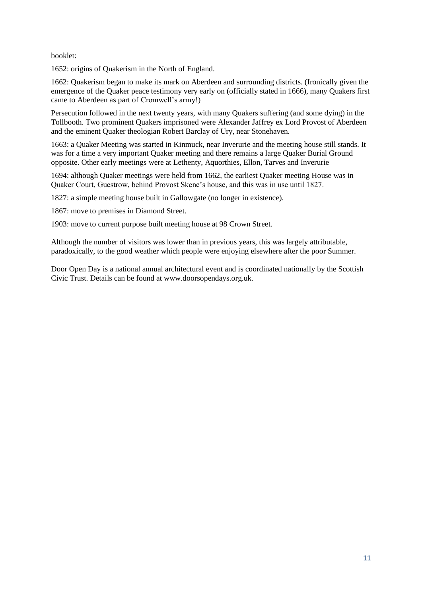booklet:

1652: origins of Quakerism in the North of England.

1662: Quakerism began to make its mark on Aberdeen and surrounding districts. (Ironically given the emergence of the Quaker peace testimony very early on (officially stated in 1666), many Quakers first came to Aberdeen as part of Cromwell"s army!)

Persecution followed in the next twenty years, with many Quakers suffering (and some dying) in the Tollbooth. Two prominent Quakers imprisoned were Alexander Jaffrey ex Lord Provost of Aberdeen and the eminent Quaker theologian Robert Barclay of Ury, near Stonehaven.

1663: a Quaker Meeting was started in Kinmuck, near Inverurie and the meeting house still stands. It was for a time a very important Quaker meeting and there remains a large Quaker Burial Ground opposite. Other early meetings were at Lethenty, Aquorthies, Ellon, Tarves and Inverurie

1694: although Quaker meetings were held from 1662, the earliest Quaker meeting House was in Quaker Court, Guestrow, behind Provost Skene"s house, and this was in use until 1827.

1827: a simple meeting house built in Gallowgate (no longer in existence).

1867: move to premises in Diamond Street.

1903: move to current purpose built meeting house at 98 Crown Street.

Although the number of visitors was lower than in previous years, this was largely attributable, paradoxically, to the good weather which people were enjoying elsewhere after the poor Summer.

Door Open Day is a national annual architectural event and is coordinated nationally by the Scottish Civic Trust. Details can be found at www.doorsopendays.org.uk.